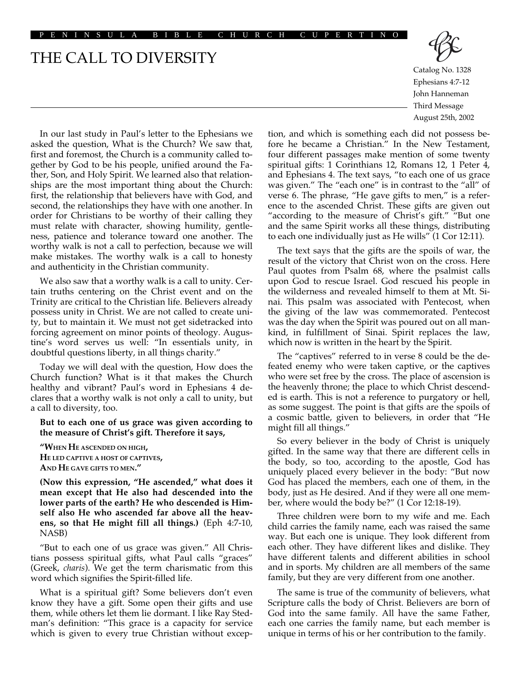#### PENINSULA BIBLE CHURCH CUPERTINO

# THE CALL TO DIVERSITY



Catalog No. 1328 Ephesians 4:7-12 John Hanneman Third Message August 25th, 2002

In our last study in Paul's letter to the Ephesians we asked the question, What is the Church? We saw that, first and foremost, the Church is a community called together by God to be his people, unified around the Father, Son, and Holy Spirit. We learned also that relationships are the most important thing about the Church: first, the relationship that believers have with God, and second, the relationships they have with one another. In order for Christians to be worthy of their calling they must relate with character, showing humility, gentleness, patience and tolerance toward one another. The worthy walk is not a call to perfection, because we will make mistakes. The worthy walk is a call to honesty and authenticity in the Christian community.

We also saw that a worthy walk is a call to unity. Certain truths centering on the Christ event and on the Trinity are critical to the Christian life. Believers already possess unity in Christ. We are not called to create unity, but to maintain it. We must not get sidetracked into forcing agreement on minor points of theology. Augustine's word serves us well: "In essentials unity, in doubtful questions liberty, in all things charity."

Today we will deal with the question, How does the Church function? What is it that makes the Church healthy and vibrant? Paul's word in Ephesians 4 declares that a worthy walk is not only a call to unity, but a call to diversity, too.

#### **But to each one of us grace was given according to the measure of Christ's gift. Therefore it says,**

**"WHEN HE ASCENDED ON HIGH, HE LED CAPTIVE A HOST OF CAPTIVES, AND HE GAVE GIFTS TO MEN."**

**(Now this expression, "He ascended," what does it mean except that He also had descended into the lower parts of the earth? He who descended is Himself also He who ascended far above all the heavens, so that He might fill all things.)** (Eph 4:7-10, NASB)

"But to each one of us grace was given." All Christians possess spiritual gifts, what Paul calls "graces" (Greek, *charis*). We get the term charismatic from this word which signifies the Spirit-filled life.

What is a spiritual gift? Some believers don't even know they have a gift. Some open their gifts and use them, while others let them lie dormant. I like Ray Stedman's definition: "This grace is a capacity for service which is given to every true Christian without excep-

tion, and which is something each did not possess before he became a Christian." In the New Testament, four different passages make mention of some twenty spiritual gifts: 1 Corinthians 12, Romans 12, 1 Peter 4, and Ephesians 4. The text says, "to each one of us grace was given." The "each one" is in contrast to the "all" of verse 6. The phrase, "He gave gifts to men," is a reference to the ascended Christ. These gifts are given out "according to the measure of Christ's gift." "But one and the same Spirit works all these things, distributing to each one individually just as He wills" (1 Cor 12:11).

The text says that the gifts are the spoils of war, the result of the victory that Christ won on the cross. Here Paul quotes from Psalm 68, where the psalmist calls upon God to rescue Israel. God rescued his people in the wilderness and revealed himself to them at Mt. Sinai. This psalm was associated with Pentecost, when the giving of the law was commemorated. Pentecost was the day when the Spirit was poured out on all mankind, in fulfillment of Sinai. Spirit replaces the law, which now is written in the heart by the Spirit.

The "captives" referred to in verse 8 could be the defeated enemy who were taken captive, or the captives who were set free by the cross. The place of ascension is the heavenly throne; the place to which Christ descended is earth. This is not a reference to purgatory or hell, as some suggest. The point is that gifts are the spoils of a cosmic battle, given to believers, in order that "He might fill all things."

So every believer in the body of Christ is uniquely gifted. In the same way that there are different cells in the body, so too, according to the apostle, God has uniquely placed every believer in the body: "But now God has placed the members, each one of them, in the body, just as He desired. And if they were all one member, where would the body be?" (1 Cor 12:18-19).

Three children were born to my wife and me. Each child carries the family name, each was raised the same way. But each one is unique. They look different from each other. They have different likes and dislike. They have different talents and different abilities in school and in sports. My children are all members of the same family, but they are very different from one another.

The same is true of the community of believers, what Scripture calls the body of Christ. Believers are born of God into the same family. All have the same Father, each one carries the family name, but each member is unique in terms of his or her contribution to the family.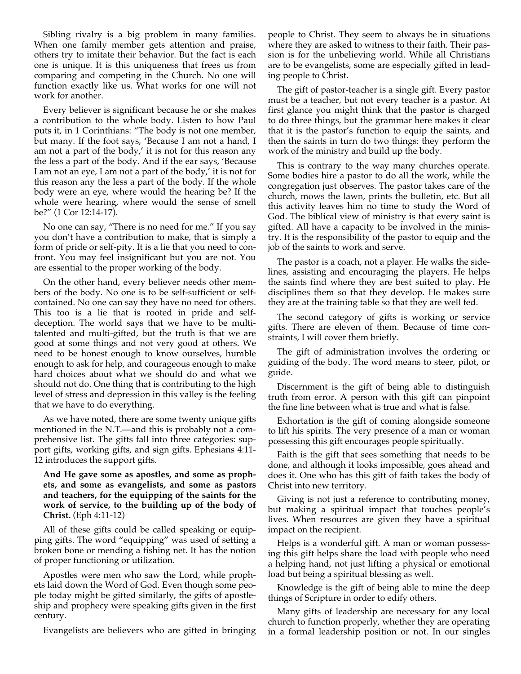Sibling rivalry is a big problem in many families. When one family member gets attention and praise, others try to imitate their behavior. But the fact is each one is unique. It is this uniqueness that frees us from comparing and competing in the Church. No one will function exactly like us. What works for one will not work for another.

Every believer is significant because he or she makes a contribution to the whole body. Listen to how Paul puts it, in 1 Corinthians: "The body is not one member, but many. If the foot says, 'Because I am not a hand, I am not a part of the body,' it is not for this reason any the less a part of the body. And if the ear says, 'Because I am not an eye, I am not a part of the body,' it is not for this reason any the less a part of the body. If the whole body were an eye, where would the hearing be? If the whole were hearing, where would the sense of smell be?" (1 Cor 12:14-17).

No one can say, "There is no need for me." If you say you don't have a contribution to make, that is simply a form of pride or self-pity. It is a lie that you need to confront. You may feel insignificant but you are not. You are essential to the proper working of the body.

On the other hand, every believer needs other members of the body. No one is to be self-sufficient or selfcontained. No one can say they have no need for others. This too is a lie that is rooted in pride and selfdeception. The world says that we have to be multitalented and multi-gifted, but the truth is that we are good at some things and not very good at others. We need to be honest enough to know ourselves, humble enough to ask for help, and courageous enough to make hard choices about what we should do and what we should not do. One thing that is contributing to the high level of stress and depression in this valley is the feeling that we have to do everything.

As we have noted, there are some twenty unique gifts mentioned in the N.T.—and this is probably not a comprehensive list. The gifts fall into three categories: support gifts, working gifts, and sign gifts. Ephesians 4:11- 12 introduces the support gifts.

### **And He gave some as apostles, and some as prophets, and some as evangelists, and some as pastors and teachers, for the equipping of the saints for the work of service, to the building up of the body of Christ.** (Eph 4:11-12)

All of these gifts could be called speaking or equipping gifts. The word "equipping" was used of setting a broken bone or mending a fishing net. It has the notion of proper functioning or utilization.

Apostles were men who saw the Lord, while prophets laid down the Word of God. Even though some people today might be gifted similarly, the gifts of apostleship and prophecy were speaking gifts given in the first century.

Evangelists are believers who are gifted in bringing

people to Christ. They seem to always be in situations where they are asked to witness to their faith. Their passion is for the unbelieving world. While all Christians are to be evangelists, some are especially gifted in leading people to Christ.

The gift of pastor-teacher is a single gift. Every pastor must be a teacher, but not every teacher is a pastor. At first glance you might think that the pastor is charged to do three things, but the grammar here makes it clear that it is the pastor's function to equip the saints, and then the saints in turn do two things: they perform the work of the ministry and build up the body.

This is contrary to the way many churches operate. Some bodies hire a pastor to do all the work, while the congregation just observes. The pastor takes care of the church, mows the lawn, prints the bulletin, etc. But all this activity leaves him no time to study the Word of God. The biblical view of ministry is that every saint is gifted. All have a capacity to be involved in the ministry. It is the responsibility of the pastor to equip and the job of the saints to work and serve.

The pastor is a coach, not a player. He walks the sidelines, assisting and encouraging the players. He helps the saints find where they are best suited to play. He disciplines them so that they develop. He makes sure they are at the training table so that they are well fed.

The second category of gifts is working or service gifts. There are eleven of them. Because of time constraints, I will cover them briefly.

The gift of administration involves the ordering or guiding of the body. The word means to steer, pilot, or guide.

Discernment is the gift of being able to distinguish truth from error. A person with this gift can pinpoint the fine line between what is true and what is false.

Exhortation is the gift of coming alongside someone to lift his spirits. The very presence of a man or woman possessing this gift encourages people spiritually.

Faith is the gift that sees something that needs to be done, and although it looks impossible, goes ahead and does it. One who has this gift of faith takes the body of Christ into new territory.

Giving is not just a reference to contributing money, but making a spiritual impact that touches people's lives. When resources are given they have a spiritual impact on the recipient.

Helps is a wonderful gift. A man or woman possessing this gift helps share the load with people who need a helping hand, not just lifting a physical or emotional load but being a spiritual blessing as well.

Knowledge is the gift of being able to mine the deep things of Scripture in order to edify others.

Many gifts of leadership are necessary for any local church to function properly, whether they are operating in a formal leadership position or not. In our singles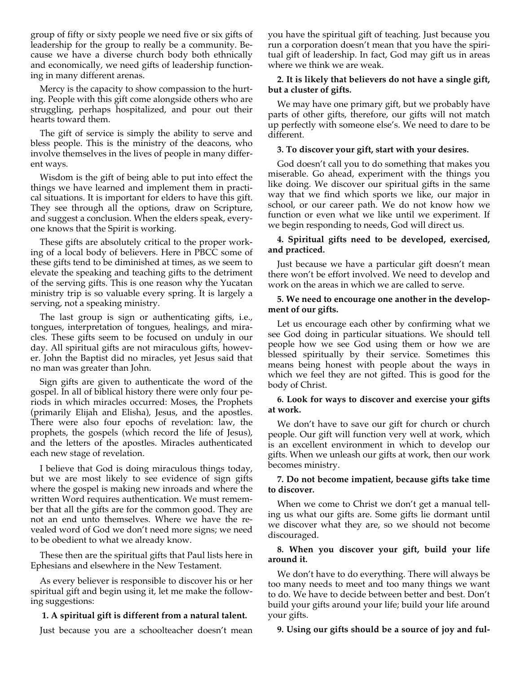group of fifty or sixty people we need five or six gifts of leadership for the group to really be a community. Because we have a diverse church body both ethnically and economically, we need gifts of leadership functioning in many different arenas.

Mercy is the capacity to show compassion to the hurting. People with this gift come alongside others who are struggling, perhaps hospitalized, and pour out their hearts toward them.

The gift of service is simply the ability to serve and bless people. This is the ministry of the deacons, who involve themselves in the lives of people in many different ways.

Wisdom is the gift of being able to put into effect the things we have learned and implement them in practical situations. It is important for elders to have this gift. They see through all the options, draw on Scripture, and suggest a conclusion. When the elders speak, everyone knows that the Spirit is working.

These gifts are absolutely critical to the proper working of a local body of believers. Here in PBCC some of these gifts tend to be diminished at times, as we seem to elevate the speaking and teaching gifts to the detriment of the serving gifts. This is one reason why the Yucatan ministry trip is so valuable every spring. It is largely a serving, not a speaking ministry.

The last group is sign or authenticating gifts, i.e., tongues, interpretation of tongues, healings, and miracles. These gifts seem to be focused on unduly in our day. All spiritual gifts are not miraculous gifts, however. John the Baptist did no miracles, yet Jesus said that no man was greater than John.

Sign gifts are given to authenticate the word of the gospel. In all of biblical history there were only four periods in which miracles occurred: Moses, the Prophets (primarily Elijah and Elisha), Jesus, and the apostles. There were also four epochs of revelation: law, the prophets, the gospels (which record the life of Jesus), and the letters of the apostles. Miracles authenticated each new stage of revelation.

I believe that God is doing miraculous things today, but we are most likely to see evidence of sign gifts where the gospel is making new inroads and where the written Word requires authentication. We must remember that all the gifts are for the common good. They are not an end unto themselves. Where we have the revealed word of God we don't need more signs; we need to be obedient to what we already know.

These then are the spiritual gifts that Paul lists here in Ephesians and elsewhere in the New Testament.

As every believer is responsible to discover his or her spiritual gift and begin using it, let me make the following suggestions:

# **1. A spiritual gift is different from a natural talent.**

Just because you are a schoolteacher doesn't mean

you have the spiritual gift of teaching. Just because you run a corporation doesn't mean that you have the spiritual gift of leadership. In fact, God may gift us in areas where we think we are weak.

# **2. It is likely that believers do not have a single gift, but a cluster of gifts.**

We may have one primary gift, but we probably have parts of other gifts, therefore, our gifts will not match up perfectly with someone else's. We need to dare to be different.

### **3. To discover your gift, start with your desires.**

God doesn't call you to do something that makes you miserable. Go ahead, experiment with the things you like doing. We discover our spiritual gifts in the same way that we find which sports we like, our major in school, or our career path. We do not know how we function or even what we like until we experiment. If we begin responding to needs, God will direct us.

### **4. Spiritual gifts need to be developed, exercised, and practiced.**

Just because we have a particular gift doesn't mean there won't be effort involved. We need to develop and work on the areas in which we are called to serve.

#### **5. We need to encourage one another in the development of our gifts.**

Let us encourage each other by confirming what we see God doing in particular situations. We should tell people how we see God using them or how we are blessed spiritually by their service. Sometimes this means being honest with people about the ways in which we feel they are not gifted. This is good for the body of Christ.

# **6. Look for ways to discover and exercise your gifts at work.**

We don't have to save our gift for church or church people. Our gift will function very well at work, which is an excellent environment in which to develop our gifts. When we unleash our gifts at work, then our work becomes ministry.

# **7. Do not become impatient, because gifts take time to discover.**

When we come to Christ we don't get a manual telling us what our gifts are. Some gifts lie dormant until we discover what they are, so we should not become discouraged.

# **8. When you discover your gift, build your life around it.**

We don't have to do everything. There will always be too many needs to meet and too many things we want to do. We have to decide between better and best. Don't build your gifts around your life; build your life around your gifts.

# **9. Using our gifts should be a source of joy and ful-**